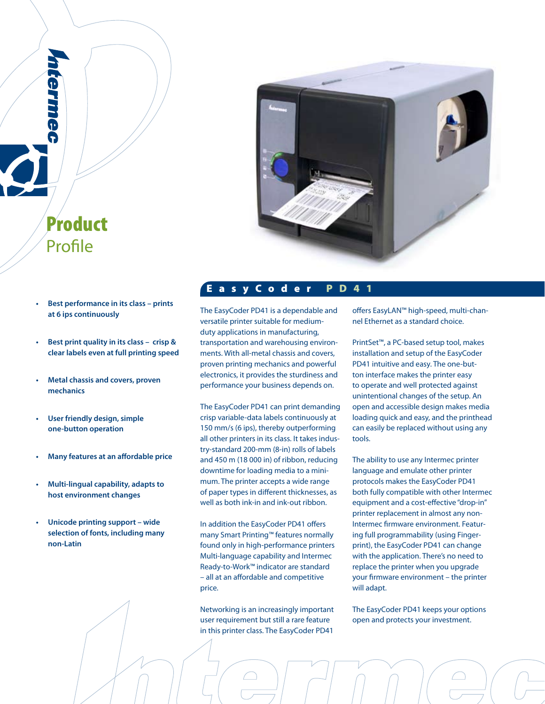

**• Best performance in its class – prints at 6 ips continuously**

Product

Profile

rernne

- **Best print quality in its class crisp & clear labels even at full printing speed**
- **Metal chassis and covers, proven mechanics**
- **User friendly design, simple one-button operation**
- **Many features at an affordable price**
- **Multi-lingual capability, adapts to host environment changes**
- **Unicode printing support wide selection of fonts, including many non-Latin**

# E a s y C o d e r P D 4 1

The EasyCoder PD41 is a dependable and versatile printer suitable for mediumduty applications in manufacturing, transportation and warehousing environments. With all-metal chassis and covers, proven printing mechanics and powerful electronics, it provides the sturdiness and performance your business depends on.

The EasyCoder PD41 can print demanding crisp variable-data labels continuously at 150 mm/s (6 ips), thereby outperforming all other printers in its class. It takes industry-standard 200-mm (8-in) rolls of labels and 450 m (18 000 in) of ribbon, reducing downtime for loading media to a minimum. The printer accepts a wide range of paper types in different thicknesses, as well as both ink-in and ink-out ribbon.

In addition the EasyCoder PD41 offers many Smart Printing™ features normally found only in high-performance printers Multi-language capability and Intermec Ready-to-Work™ indicator are standard – all at an affordable and competitive price.

Networking is an increasingly important user requirement but still a rare feature in this printer class. The EasyCoder PD41

offers EasyLAN™ high-speed, multi-channel Ethernet as a standard choice.

PrintSet™, a PC-based setup tool, makes installation and setup of the EasyCoder PD41 intuitive and easy. The one-button interface makes the printer easy to operate and well protected against unintentional changes of the setup. An open and accessible design makes media loading quick and easy, and the printhead can easily be replaced without using any tools.

The ability to use any Intermec printer language and emulate other printer protocols makes the EasyCoder PD41 both fully compatible with other Intermec equipment and a cost-effective "drop-in" printer replacement in almost any non-Intermec firmware environment. Featuring full programmability (using Fingerprint), the EasyCoder PD41 can change with the application. There's no need to replace the printer when you upgrade your firmware environment – the printer will adapt.

The EasyCoder PD41 keeps your options open and protects your investment.